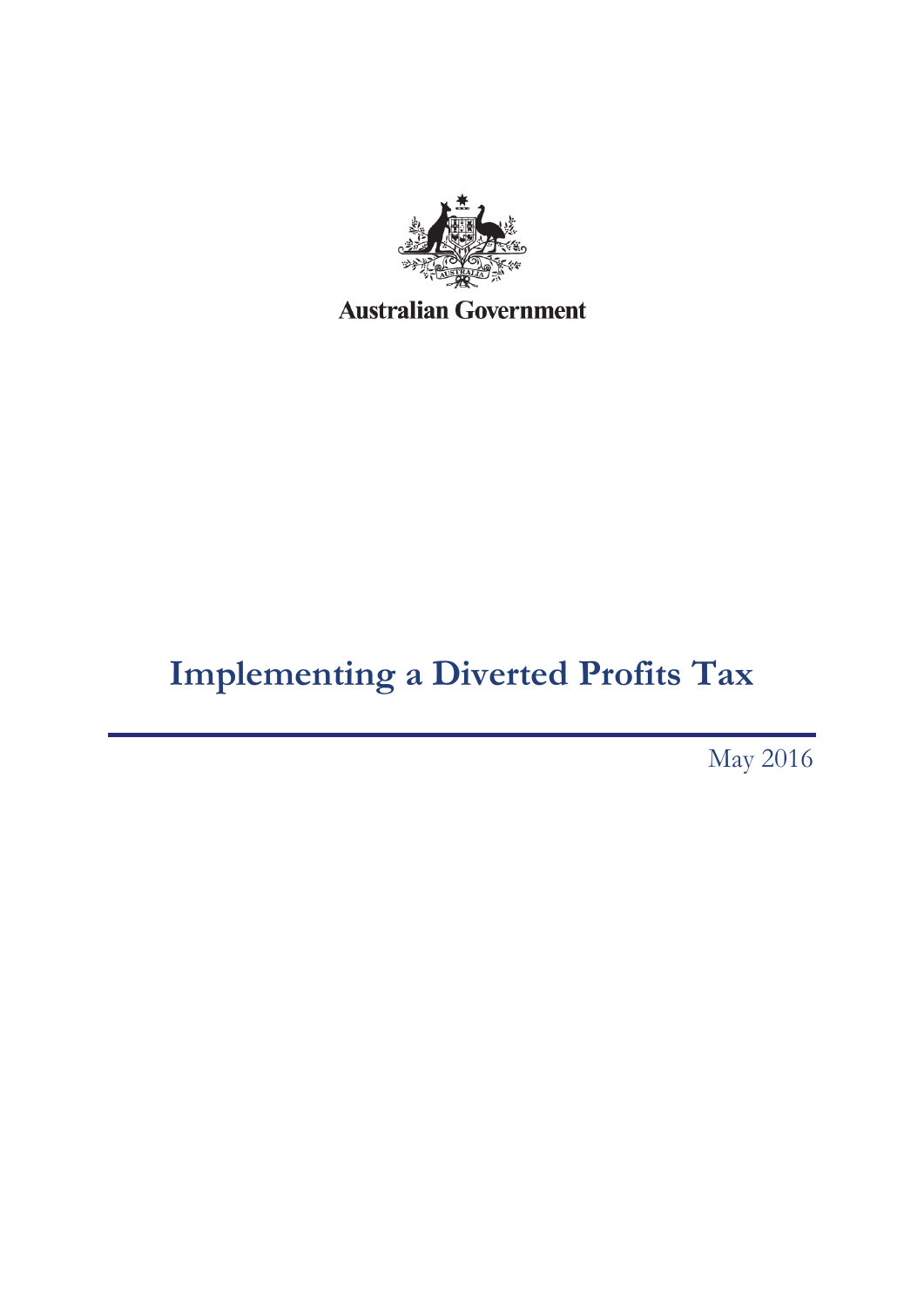

# **Implementing a Diverted Profits Tax**

May 2016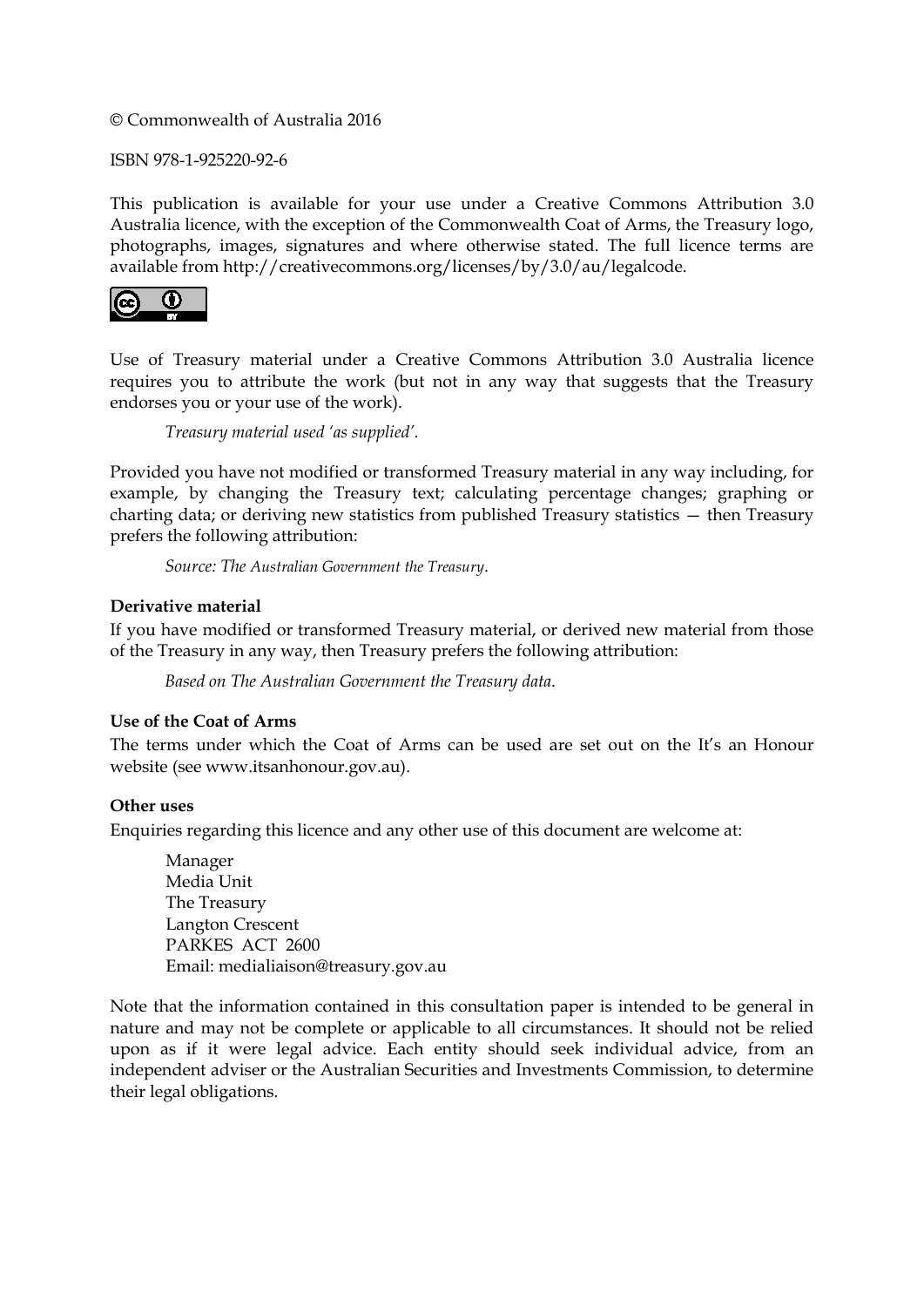© Commonwealth of Australia 2016

ISBN 978-1-925220-92-6

This publication is available for your use under a [Creative Commons Attribution 3.0](http://creativecommons.org/licenses/by/3.0/au/deed.en)  [Australia](http://creativecommons.org/licenses/by/3.0/au/deed.en) licence, with the exception of the Commonwealth Coat of Arms, the Treasury logo, photographs, images, signatures and where otherwise stated. The full licence terms are available from [http://creativecommons.org/licenses/by/3.0/au/legalcode.](http://creativecommons.org/licenses/by/3.0/au/legalcode)



Use of Treasury material under a [Creative Commons Attribution 3.0 Australia](http://creativecommons.org/licenses/by/3.0/au/deed.en) licence requires you to attribute the work (but not in any way that suggests that the Treasury endorses you or your use of the work).

*Treasury material used 'as supplied'.*

Provided you have not modified or transformed Treasury material in any way including, for example, by changing the Treasury text; calculating percentage changes; graphing or charting data; or deriving new statistics from published Treasury statistics — then Treasury prefers the following attribution:

*Source: The Australian Government the Treasury*.

#### **Derivative material**

If you have modified or transformed Treasury material, or derived new material from those of the Treasury in any way, then Treasury prefers the following attribution:

*Based on The Australian Government the Treasury data*.

#### **Use of the Coat of Arms**

The terms under which the Coat of Arms can be used are set out on the It's an Honour website (see [www.itsanhonour.gov.au\)](http://www.itsanhonour.gov.au/).

#### **Other uses**

Enquiries regarding this licence and any other use of this document are welcome at:

Manager Media Unit The Treasury Langton Crescent PARKES ACT 2600 Email[: medialiaison@treasury.gov.au](mailto:medialiaison@treasury.gov.au)

Note that the information contained in this consultation paper is intended to be general in nature and may not be complete or applicable to all circumstances. It should not be relied upon as if it were legal advice. Each entity should seek individual advice, from an independent adviser or the Australian Securities and Investments Commission, to determine their legal obligations.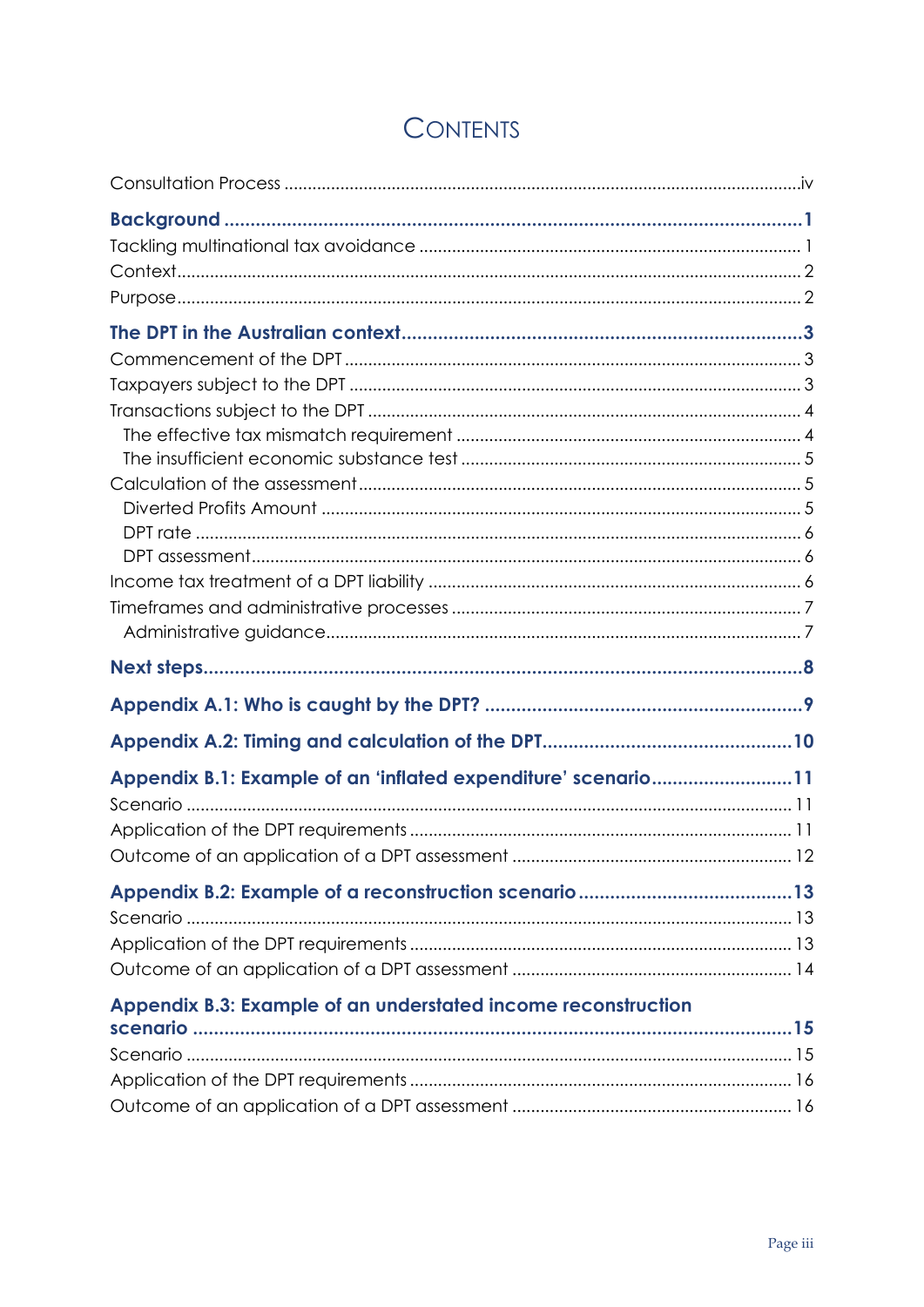| Appendix B.1: Example of an 'inflated expenditure' scenario11 |  |
|---------------------------------------------------------------|--|
|                                                               |  |
|                                                               |  |
|                                                               |  |
|                                                               |  |
|                                                               |  |
|                                                               |  |
|                                                               |  |
| Appendix B.3: Example of an understated income reconstruction |  |
|                                                               |  |
|                                                               |  |
|                                                               |  |

## **CONTENTS**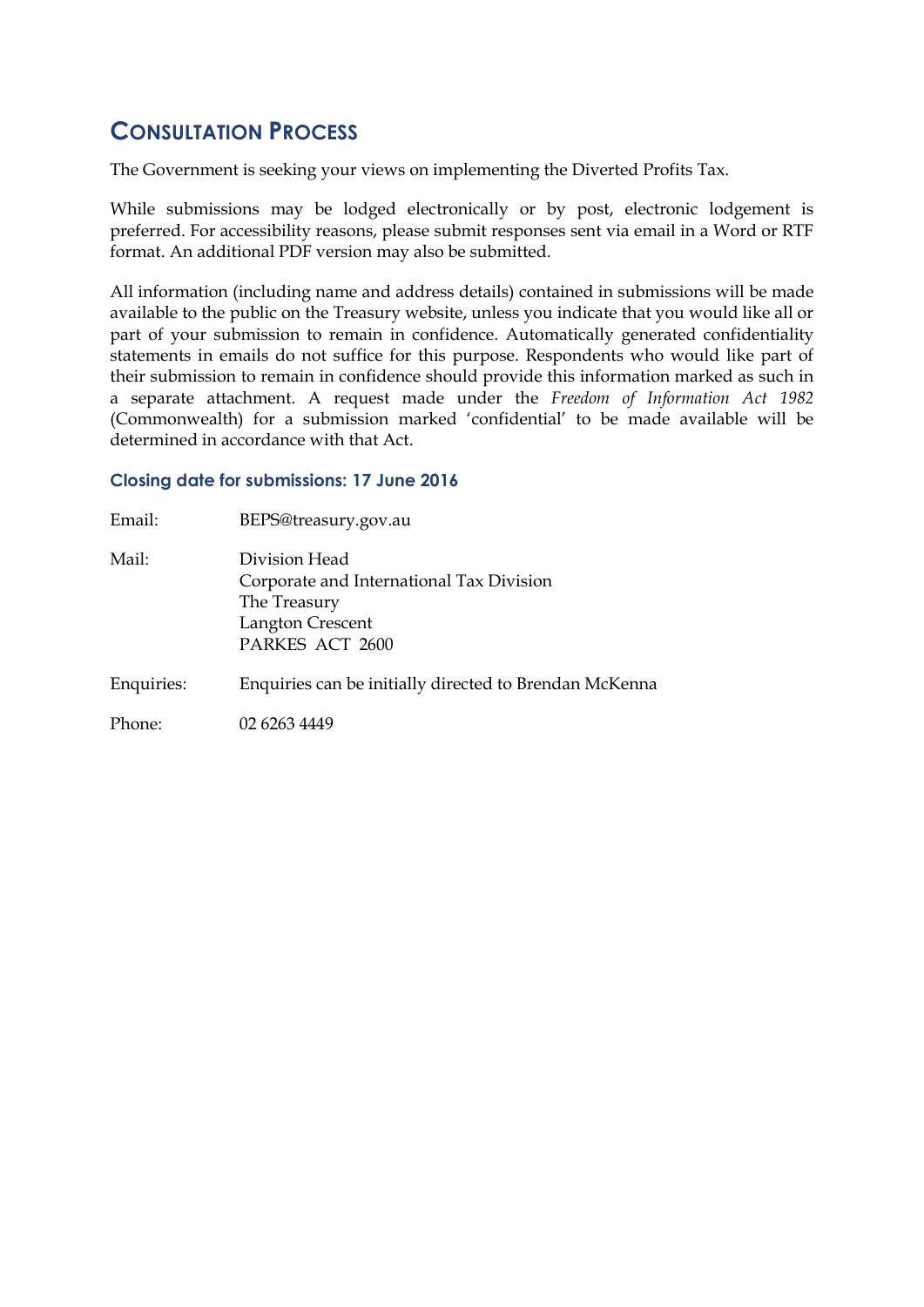## <span id="page-3-0"></span>**CONSULTATION PROCESS**

The Government is seeking your views on implementing the Diverted Profits Tax.

While submissions may be lodged electronically or by post, electronic lodgement is preferred. For accessibility reasons, please submit responses sent via email in a Word or RTF format. An additional PDF version may also be submitted.

All information (including name and address details) contained in submissions will be made available to the public on the Treasury website, unless you indicate that you would like all or part of your submission to remain in confidence. Automatically generated confidentiality statements in emails do not suffice for this purpose. Respondents who would like part of their submission to remain in confidence should provide this information marked as such in a separate attachment. A request made under the *Freedom of Information Act 1982* (Commonwealth) for a submission marked 'confidential' to be made available will be determined in accordance with that Act.

#### **Closing date for submissions: 17 June 2016**

| Email:     | BEPS@treasury.gov.au                                                                                             |
|------------|------------------------------------------------------------------------------------------------------------------|
| Mail:      | Division Head<br>Corporate and International Tax Division<br>The Treasury<br>Langton Crescent<br>PARKES ACT 2600 |
| Enquiries: | Enquiries can be initially directed to Brendan McKenna                                                           |
| Phone:     | 02 6263 4449                                                                                                     |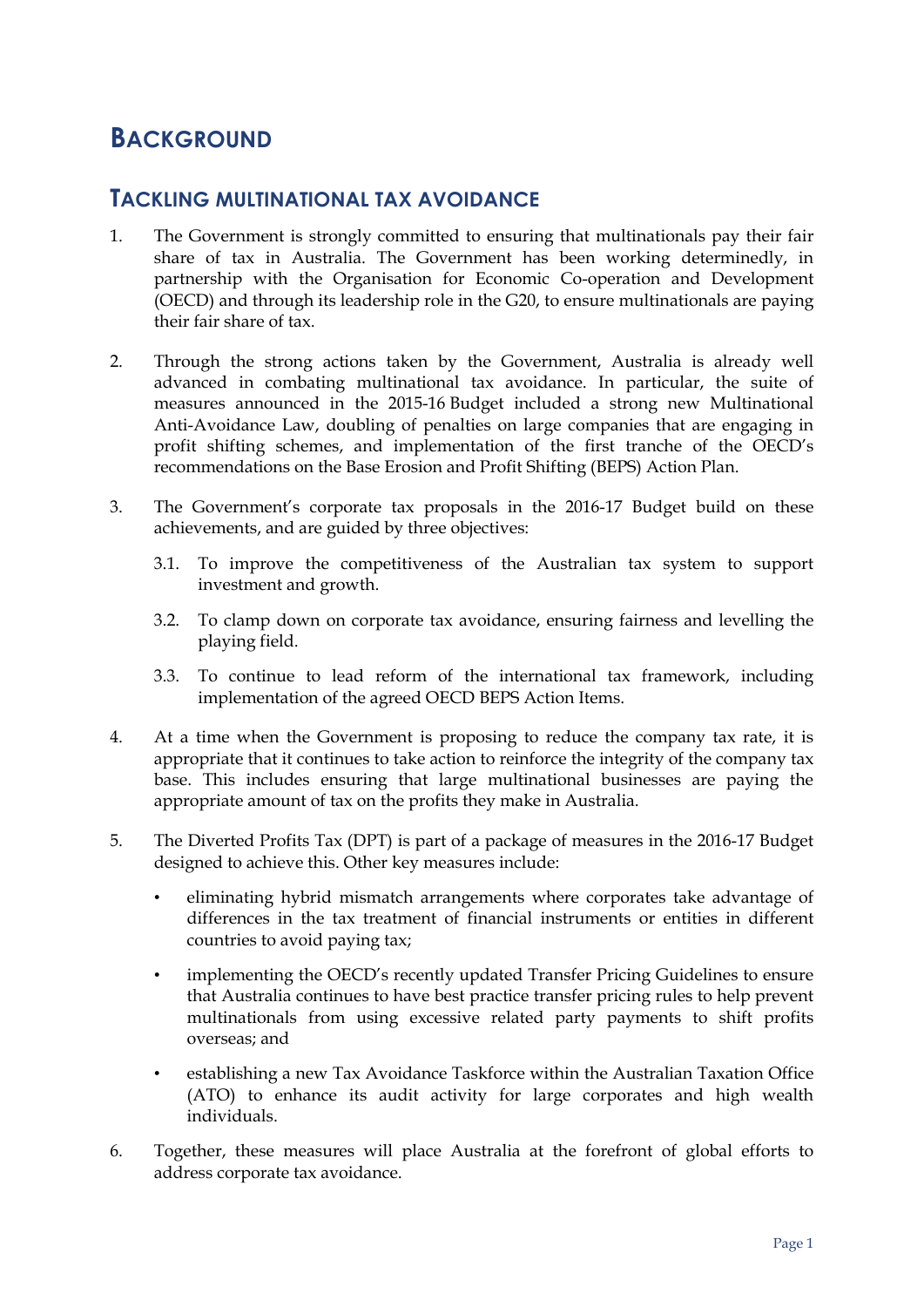## <span id="page-4-0"></span>**BACKGROUND**

#### <span id="page-4-1"></span>**TACKLING MULTINATIONAL TAX AVOIDANCE**

- 1. The Government is strongly committed to ensuring that multinationals pay their fair share of tax in Australia. The Government has been working determinedly, in partnership with the Organisation for Economic Co-operation and Development (OECD) and through its leadership role in the G20, to ensure multinationals are paying their fair share of tax.
- 2. Through the strong actions taken by the Government, Australia is already well advanced in combating multinational tax avoidance. In particular, the suite of measures announced in the 2015-16 Budget included a strong new Multinational Anti-Avoidance Law, doubling of penalties on large companies that are engaging in profit shifting schemes, and implementation of the first tranche of the OECD's recommendations on the Base Erosion and Profit Shifting (BEPS) Action Plan.
- 3. The Government's corporate tax proposals in the 2016-17 Budget build on these achievements, and are guided by three objectives:
	- 3.1. To improve the competitiveness of the Australian tax system to support investment and growth.
	- 3.2. To clamp down on corporate tax avoidance, ensuring fairness and levelling the playing field.
	- 3.3. To continue to lead reform of the international tax framework, including implementation of the agreed OECD BEPS Action Items.
- 4. At a time when the Government is proposing to reduce the company tax rate, it is appropriate that it continues to take action to reinforce the integrity of the company tax base. This includes ensuring that large multinational businesses are paying the appropriate amount of tax on the profits they make in Australia.
- 5. The Diverted Profits Tax (DPT) is part of a package of measures in the 2016-17 Budget designed to achieve this. Other key measures include:
	- eliminating hybrid mismatch arrangements where corporates take advantage of differences in the tax treatment of financial instruments or entities in different countries to avoid paying tax;
	- implementing the OECD's recently updated Transfer Pricing Guidelines to ensure that Australia continues to have best practice transfer pricing rules to help prevent multinationals from using excessive related party payments to shift profits overseas; and
	- establishing a new Tax Avoidance Taskforce within the Australian Taxation Office (ATO) to enhance its audit activity for large corporates and high wealth individuals.
- 6. Together, these measures will place Australia at the forefront of global efforts to address corporate tax avoidance.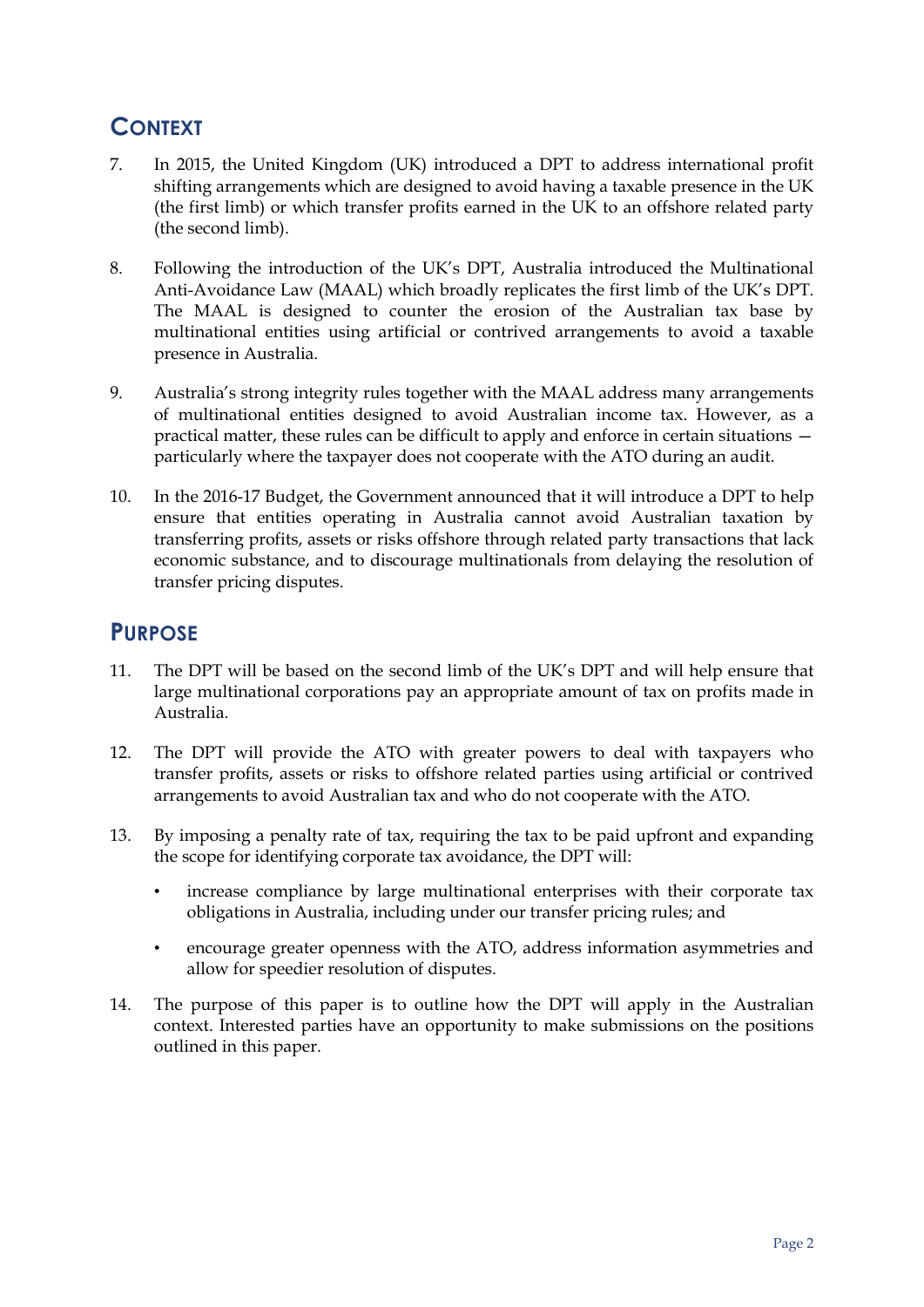## <span id="page-5-0"></span>**CONTEXT**

- 7. In 2015, the United Kingdom (UK) introduced a DPT to address international profit shifting arrangements which are designed to avoid having a taxable presence in the UK (the first limb) or which transfer profits earned in the UK to an offshore related party (the second limb).
- 8. Following the introduction of the UK's DPT, Australia introduced the Multinational Anti-Avoidance Law (MAAL) which broadly replicates the first limb of the UK's DPT. The MAAL is designed to counter the erosion of the Australian tax base by multinational entities using artificial or contrived arrangements to avoid a taxable presence in Australia.
- 9. Australia's strong integrity rules together with the MAAL address many arrangements of multinational entities designed to avoid Australian income tax. However, as a practical matter, these rules can be difficult to apply and enforce in certain situations particularly where the taxpayer does not cooperate with the ATO during an audit.
- 10. In the 2016-17 Budget, the Government announced that it will introduce a DPT to help ensure that entities operating in Australia cannot avoid Australian taxation by transferring profits, assets or risks offshore through related party transactions that lack economic substance, and to discourage multinationals from delaying the resolution of transfer pricing disputes.

## <span id="page-5-1"></span>**PURPOSE**

- 11. The DPT will be based on the second limb of the UK's DPT and will help ensure that large multinational corporations pay an appropriate amount of tax on profits made in Australia.
- 12. The DPT will provide the ATO with greater powers to deal with taxpayers who transfer profits, assets or risks to offshore related parties using artificial or contrived arrangements to avoid Australian tax and who do not cooperate with the ATO.
- 13. By imposing a penalty rate of tax, requiring the tax to be paid upfront and expanding the scope for identifying corporate tax avoidance, the DPT will:
	- increase compliance by large multinational enterprises with their corporate tax obligations in Australia, including under our transfer pricing rules; and
	- encourage greater openness with the ATO, address information asymmetries and allow for speedier resolution of disputes.
- 14. The purpose of this paper is to outline how the DPT will apply in the Australian context. Interested parties have an opportunity to make submissions on the positions outlined in this paper.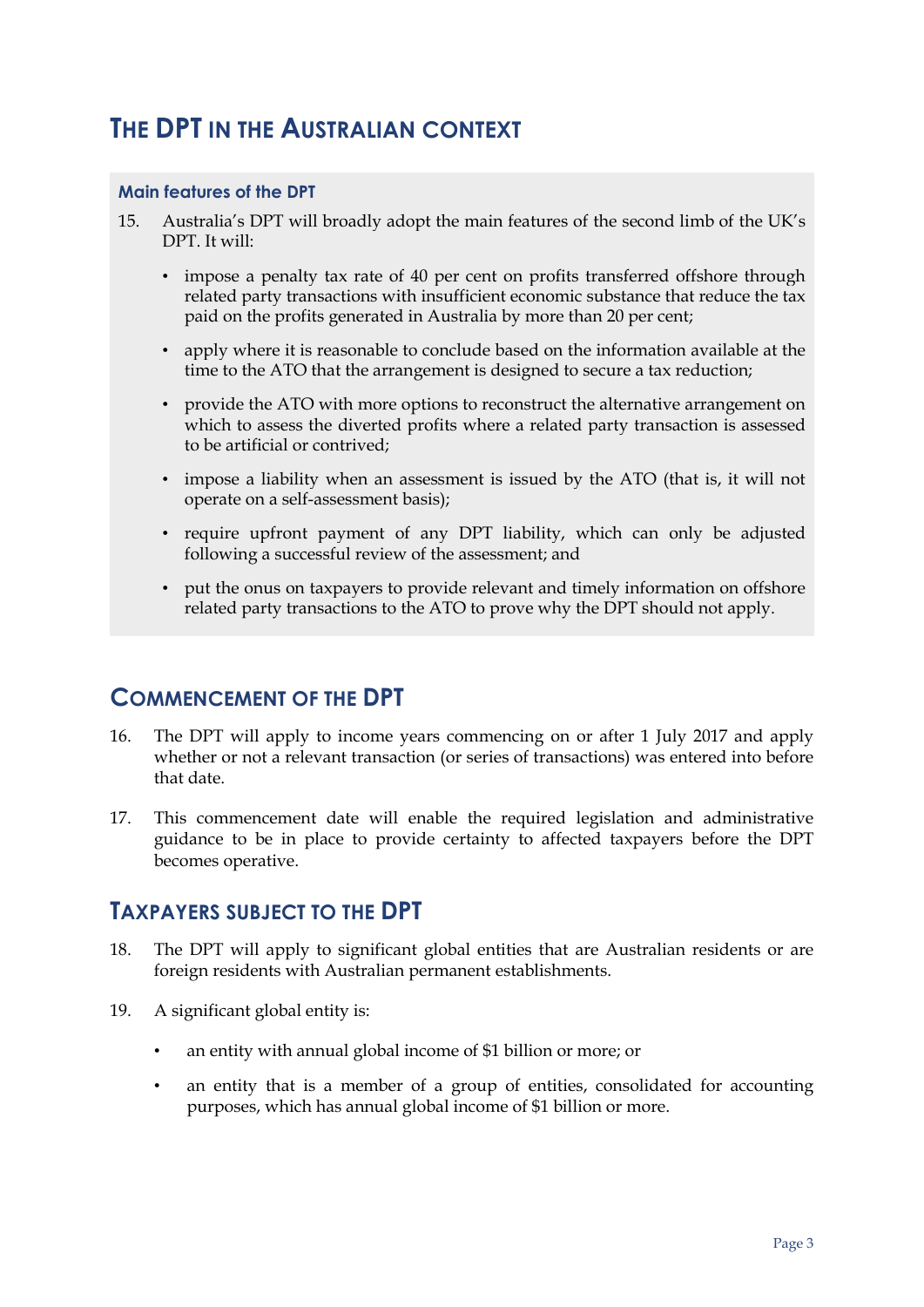## <span id="page-6-0"></span>**THE DPT IN THE AUSTRALIAN CONTEXT**

#### **Main features of the DPT**

- 15. Australia's DPT will broadly adopt the main features of the second limb of the UK's DPT. It will:
	- impose a penalty tax rate of 40 per cent on profits transferred offshore through related party transactions with insufficient economic substance that reduce the tax paid on the profits generated in Australia by more than 20 per cent;
	- apply where it is reasonable to conclude based on the information available at the time to the ATO that the arrangement is designed to secure a tax reduction;
	- provide the ATO with more options to reconstruct the alternative arrangement on which to assess the diverted profits where a related party transaction is assessed to be artificial or contrived;
	- impose a liability when an assessment is issued by the ATO (that is, it will not operate on a self-assessment basis);
	- require upfront payment of any DPT liability, which can only be adjusted following a successful review of the assessment; and
	- put the onus on taxpayers to provide relevant and timely information on offshore related party transactions to the ATO to prove why the DPT should not apply.

### <span id="page-6-1"></span>**COMMENCEMENT OF THE DPT**

- 16. The DPT will apply to income years commencing on or after 1 July 2017 and apply whether or not a relevant transaction (or series of transactions) was entered into before that date.
- 17. This commencement date will enable the required legislation and administrative guidance to be in place to provide certainty to affected taxpayers before the DPT becomes operative.

#### <span id="page-6-2"></span>**TAXPAYERS SUBJECT TO THE DPT**

- 18. The DPT will apply to significant global entities that are Australian residents or are foreign residents with Australian permanent establishments.
- 19. A significant global entity is:
	- an entity with annual global income of \$1 billion or more; or
	- an entity that is a member of a group of entities, consolidated for accounting purposes, which has annual global income of \$1 billion or more.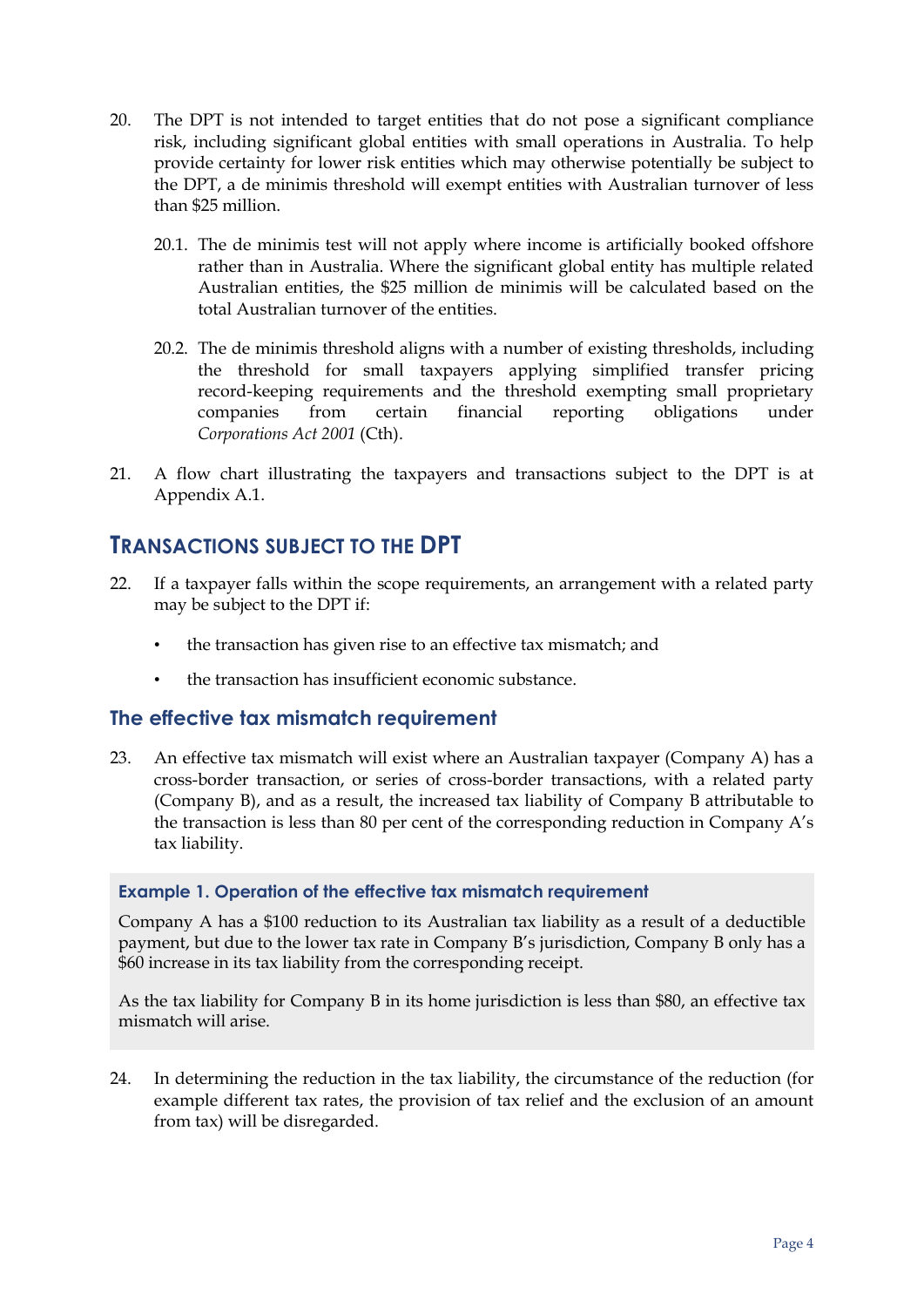- 20. The DPT is not intended to target entities that do not pose a significant compliance risk, including significant global entities with small operations in Australia. To help provide certainty for lower risk entities which may otherwise potentially be subject to the DPT, a de minimis threshold will exempt entities with Australian turnover of less than \$25 million.
	- 20.1. The de minimis test will not apply where income is artificially booked offshore rather than in Australia. Where the significant global entity has multiple related Australian entities, the \$25 million de minimis will be calculated based on the total Australian turnover of the entities.
	- 20.2. The de minimis threshold aligns with a number of existing thresholds, including the threshold for small taxpayers applying simplified transfer pricing record-keeping requirements and the threshold exempting small proprietary companies from certain financial reporting obligations under *Corporations Act 2001* (Cth).
- 21. A flow chart illustrating the taxpayers and transactions subject to the DPT is at Appendix A.1.

### <span id="page-7-0"></span>**TRANSACTIONS SUBJECT TO THE DPT**

- 22. If a taxpayer falls within the scope requirements, an arrangement with a related party may be subject to the DPT if:
	- the transaction has given rise to an effective tax mismatch; and
	- the transaction has insufficient economic substance.

#### <span id="page-7-1"></span>**The effective tax mismatch requirement**

23. An effective tax mismatch will exist where an Australian taxpayer (Company A) has a cross-border transaction, or series of cross-border transactions, with a related party (Company B), and as a result, the increased tax liability of Company B attributable to the transaction is less than 80 per cent of the corresponding reduction in Company A's tax liability.

#### **Example 1. Operation of the effective tax mismatch requirement**

Company A has a \$100 reduction to its Australian tax liability as a result of a deductible payment, but due to the lower tax rate in Company B's jurisdiction, Company B only has a \$60 increase in its tax liability from the corresponding receipt.

As the tax liability for Company B in its home jurisdiction is less than \$80, an effective tax mismatch will arise.

24. In determining the reduction in the tax liability, the circumstance of the reduction (for example different tax rates, the provision of tax relief and the exclusion of an amount from tax) will be disregarded.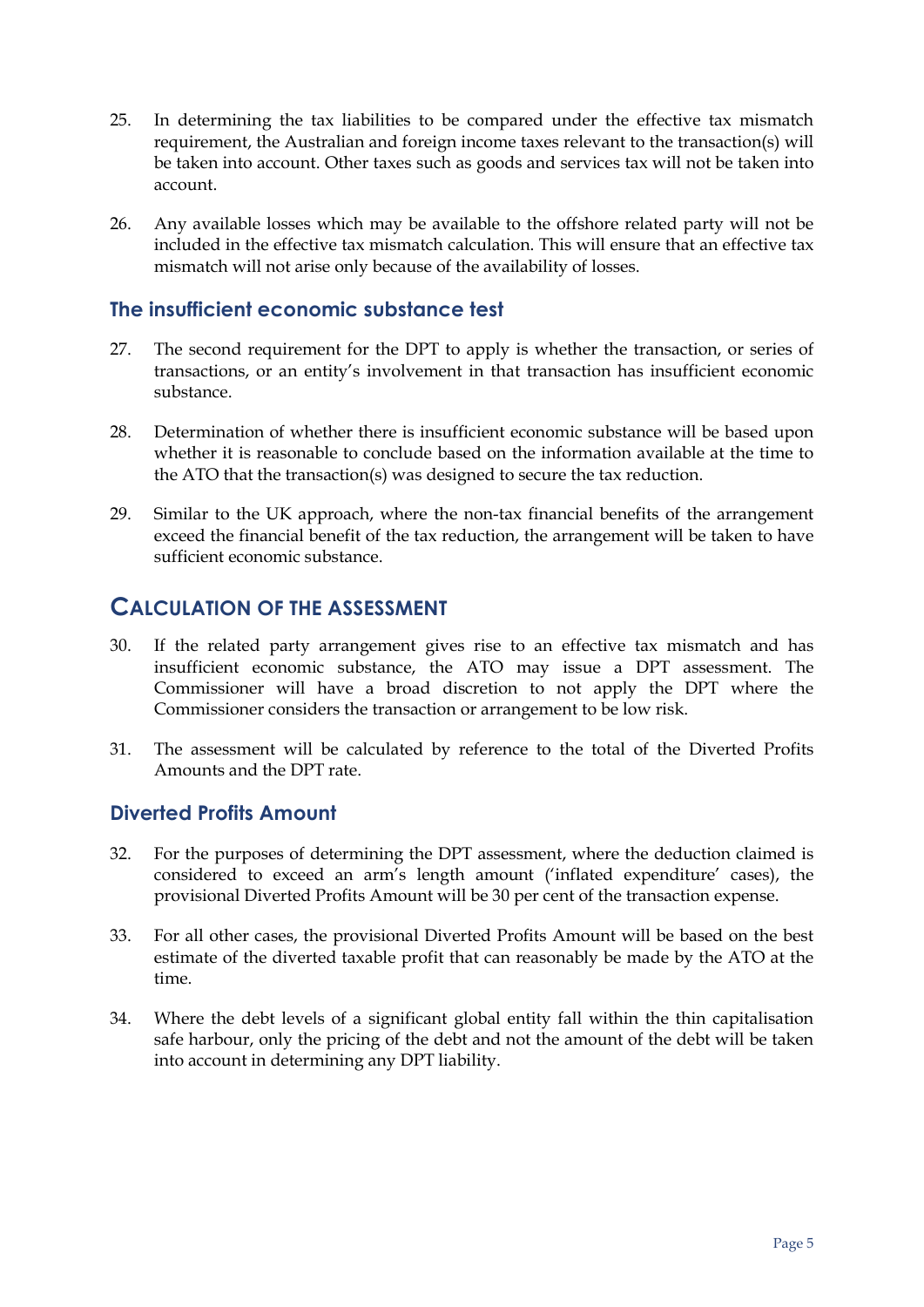- 25. In determining the tax liabilities to be compared under the effective tax mismatch requirement, the Australian and foreign income taxes relevant to the transaction(s) will be taken into account. Other taxes such as goods and services tax will not be taken into account.
- 26. Any available losses which may be available to the offshore related party will not be included in the effective tax mismatch calculation. This will ensure that an effective tax mismatch will not arise only because of the availability of losses.

#### <span id="page-8-0"></span>**The insufficient economic substance test**

- 27. The second requirement for the DPT to apply is whether the transaction, or series of transactions, or an entity's involvement in that transaction has insufficient economic substance.
- 28. Determination of whether there is insufficient economic substance will be based upon whether it is reasonable to conclude based on the information available at the time to the ATO that the transaction(s) was designed to secure the tax reduction.
- 29. Similar to the UK approach, where the non-tax financial benefits of the arrangement exceed the financial benefit of the tax reduction, the arrangement will be taken to have sufficient economic substance.

### <span id="page-8-1"></span>**CALCULATION OF THE ASSESSMENT**

- 30. If the related party arrangement gives rise to an effective tax mismatch and has insufficient economic substance, the ATO may issue a DPT assessment. The Commissioner will have a broad discretion to not apply the DPT where the Commissioner considers the transaction or arrangement to be low risk.
- 31. The assessment will be calculated by reference to the total of the Diverted Profits Amounts and the DPT rate.

#### <span id="page-8-2"></span>**Diverted Profits Amount**

- 32. For the purposes of determining the DPT assessment, where the deduction claimed is considered to exceed an arm's length amount ('inflated expenditure' cases), the provisional Diverted Profits Amount will be 30 per cent of the transaction expense.
- 33. For all other cases, the provisional Diverted Profits Amount will be based on the best estimate of the diverted taxable profit that can reasonably be made by the ATO at the time.
- 34. Where the debt levels of a significant global entity fall within the thin capitalisation safe harbour, only the pricing of the debt and not the amount of the debt will be taken into account in determining any DPT liability.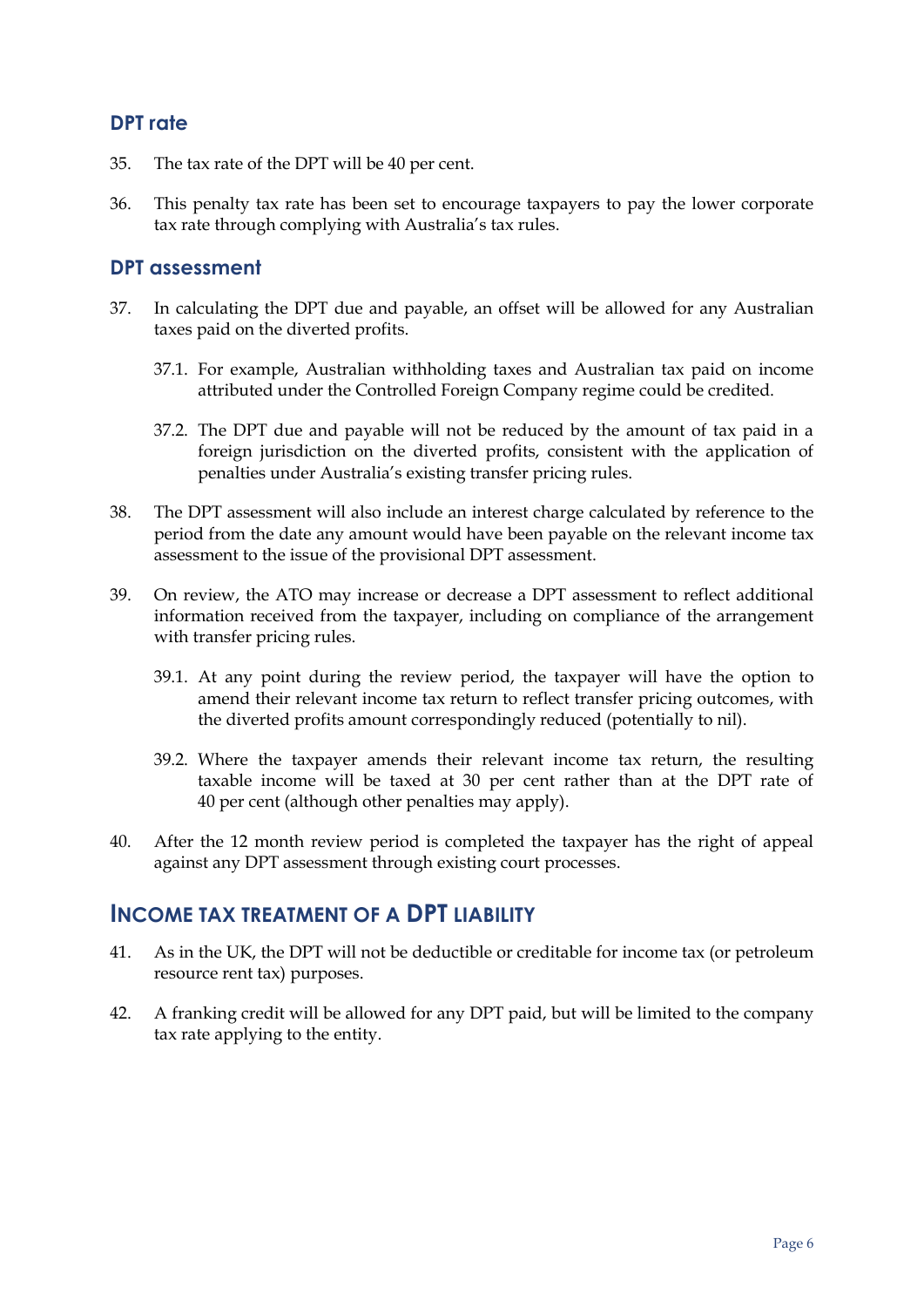#### <span id="page-9-0"></span>**DPT rate**

- 35. The tax rate of the DPT will be 40 per cent.
- 36. This penalty tax rate has been set to encourage taxpayers to pay the lower corporate tax rate through complying with Australia's tax rules.

#### <span id="page-9-1"></span>**DPT assessment**

- 37. In calculating the DPT due and payable, an offset will be allowed for any Australian taxes paid on the diverted profits.
	- 37.1. For example, Australian withholding taxes and Australian tax paid on income attributed under the Controlled Foreign Company regime could be credited.
	- 37.2. The DPT due and payable will not be reduced by the amount of tax paid in a foreign jurisdiction on the diverted profits, consistent with the application of penalties under Australia's existing transfer pricing rules.
- 38. The DPT assessment will also include an interest charge calculated by reference to the period from the date any amount would have been payable on the relevant income tax assessment to the issue of the provisional DPT assessment.
- 39. On review, the ATO may increase or decrease a DPT assessment to reflect additional information received from the taxpayer, including on compliance of the arrangement with transfer pricing rules.
	- 39.1. At any point during the review period, the taxpayer will have the option to amend their relevant income tax return to reflect transfer pricing outcomes, with the diverted profits amount correspondingly reduced (potentially to nil).
	- 39.2. Where the taxpayer amends their relevant income tax return, the resulting taxable income will be taxed at 30 per cent rather than at the DPT rate of 40 per cent (although other penalties may apply).
- 40. After the 12 month review period is completed the taxpayer has the right of appeal against any DPT assessment through existing court processes.

### <span id="page-9-2"></span>**INCOME TAX TREATMENT OF A DPT LIABILITY**

- 41. As in the UK, the DPT will not be deductible or creditable for income tax (or petroleum resource rent tax) purposes.
- 42. A franking credit will be allowed for any DPT paid, but will be limited to the company tax rate applying to the entity.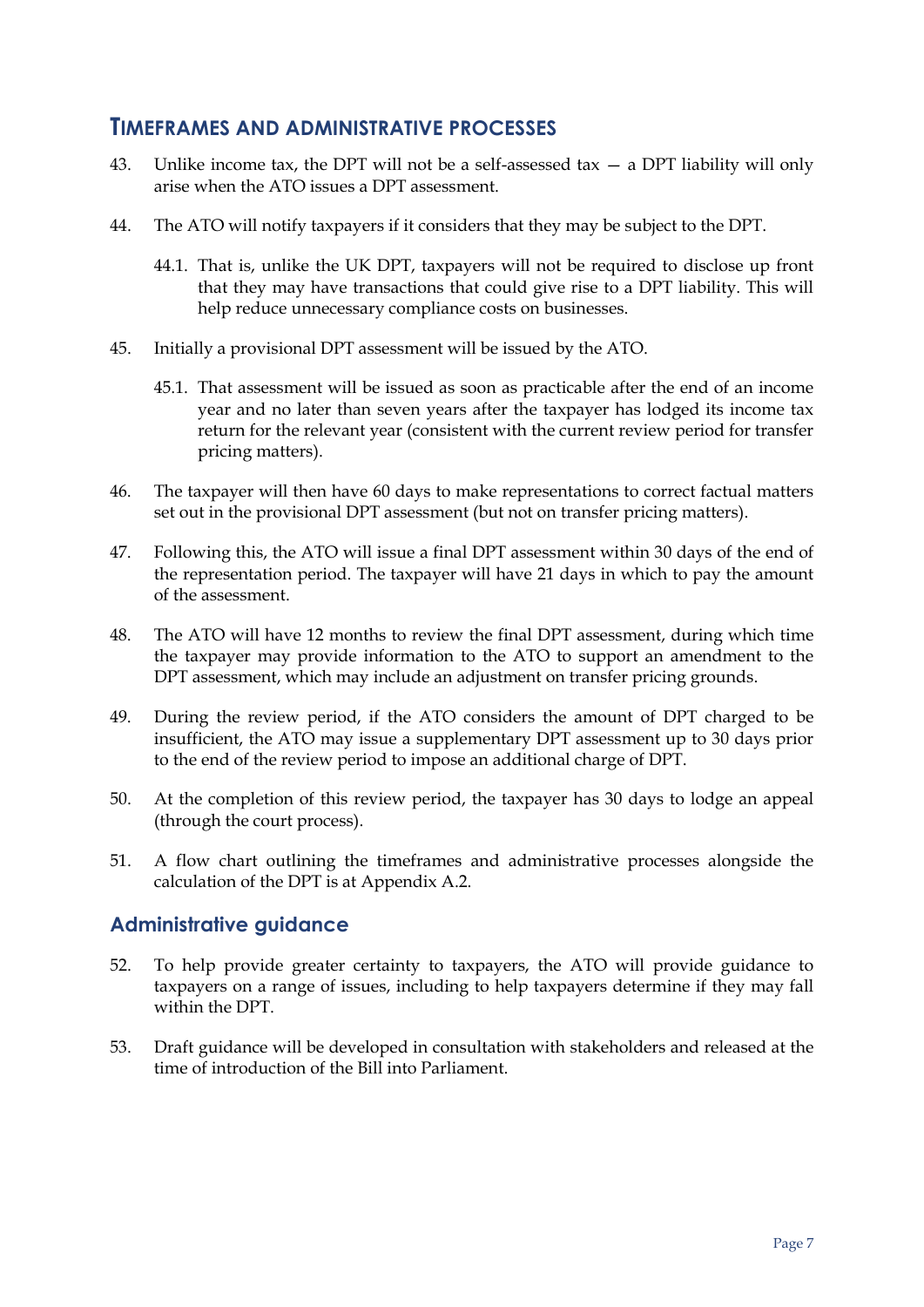#### <span id="page-10-0"></span>**TIMEFRAMES AND ADMINISTRATIVE PROCESSES**

- 43. Unlike income tax, the DPT will not be a self-assessed tax  $-$  a DPT liability will only arise when the ATO issues a DPT assessment.
- 44. The ATO will notify taxpayers if it considers that they may be subject to the DPT.
	- 44.1. That is, unlike the UK DPT, taxpayers will not be required to disclose up front that they may have transactions that could give rise to a DPT liability. This will help reduce unnecessary compliance costs on businesses.
- 45. Initially a provisional DPT assessment will be issued by the ATO.
	- 45.1. That assessment will be issued as soon as practicable after the end of an income year and no later than seven years after the taxpayer has lodged its income tax return for the relevant year (consistent with the current review period for transfer pricing matters).
- 46. The taxpayer will then have 60 days to make representations to correct factual matters set out in the provisional DPT assessment (but not on transfer pricing matters).
- 47. Following this, the ATO will issue a final DPT assessment within 30 days of the end of the representation period. The taxpayer will have 21 days in which to pay the amount of the assessment.
- 48. The ATO will have 12 months to review the final DPT assessment, during which time the taxpayer may provide information to the ATO to support an amendment to the DPT assessment, which may include an adjustment on transfer pricing grounds.
- 49. During the review period, if the ATO considers the amount of DPT charged to be insufficient, the ATO may issue a supplementary DPT assessment up to 30 days prior to the end of the review period to impose an additional charge of DPT.
- 50. At the completion of this review period, the taxpayer has 30 days to lodge an appeal (through the court process).
- 51. A flow chart outlining the timeframes and administrative processes alongside the calculation of the DPT is at Appendix A.2.

#### <span id="page-10-1"></span>**Administrative guidance**

- 52. To help provide greater certainty to taxpayers, the ATO will provide guidance to taxpayers on a range of issues, including to help taxpayers determine if they may fall within the DPT.
- 53. Draft guidance will be developed in consultation with stakeholders and released at the time of introduction of the Bill into Parliament.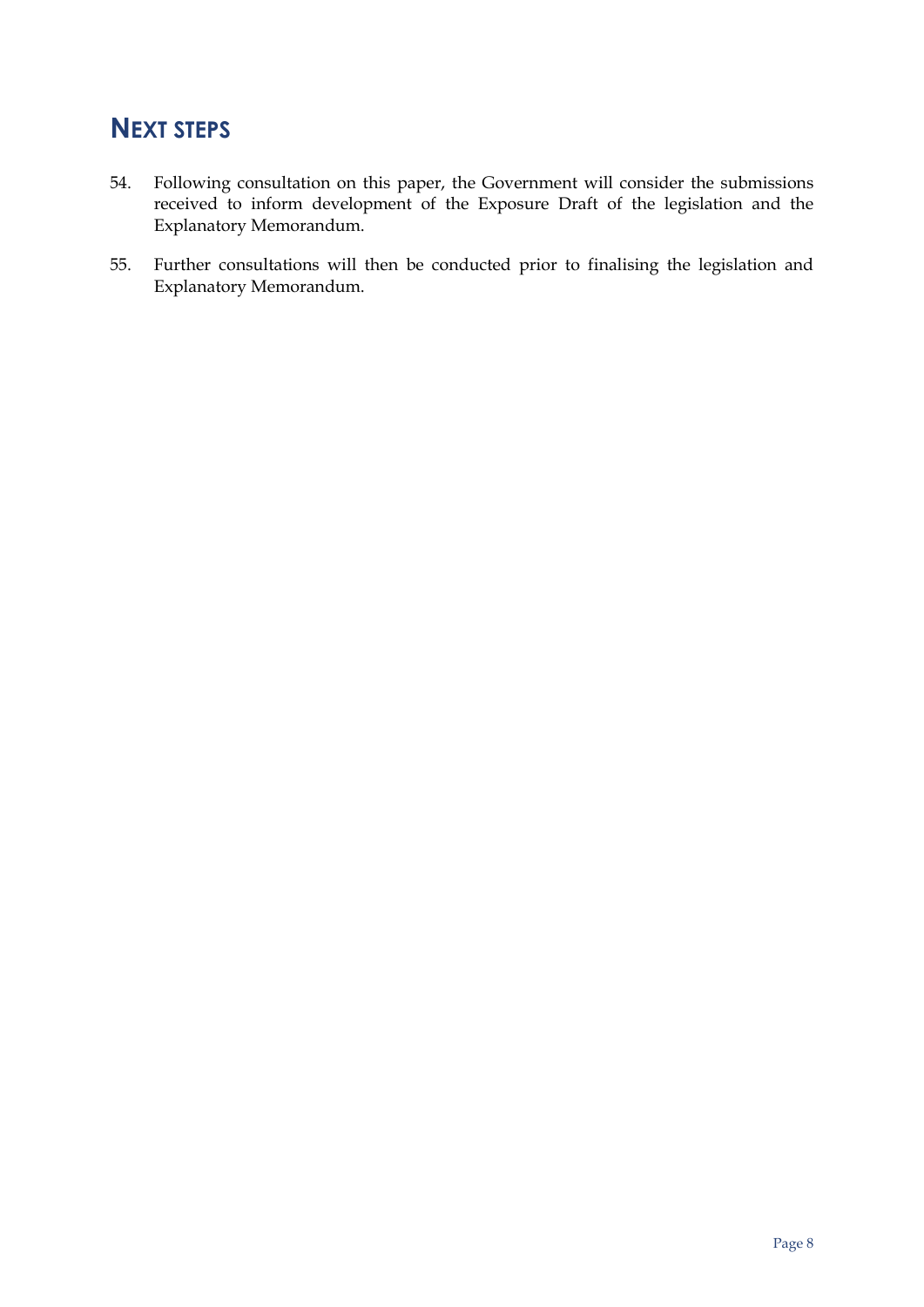## <span id="page-11-0"></span>**NEXT STEPS**

- 54. Following consultation on this paper, the Government will consider the submissions received to inform development of the Exposure Draft of the legislation and the Explanatory Memorandum.
- 55. Further consultations will then be conducted prior to finalising the legislation and Explanatory Memorandum.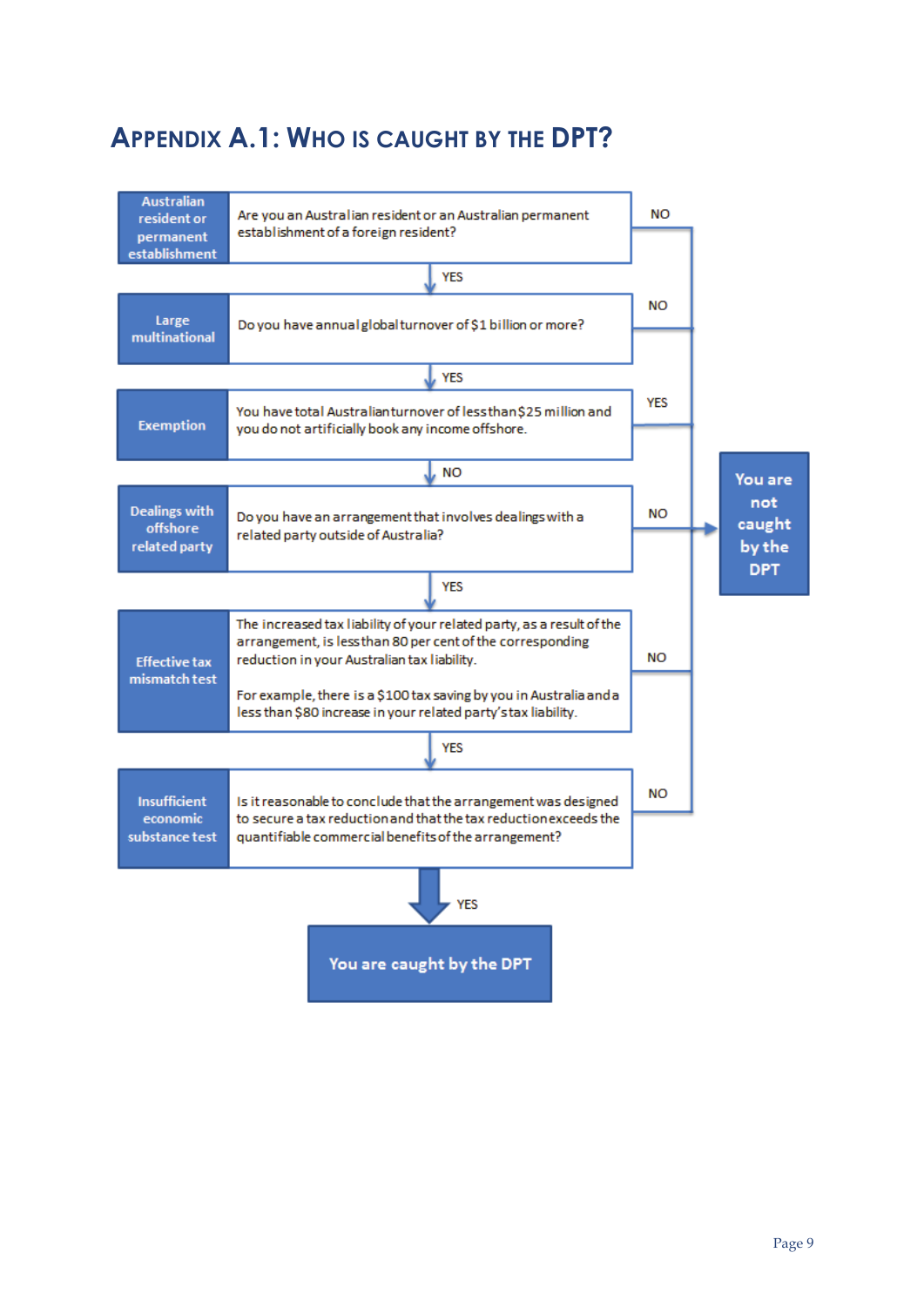## <span id="page-12-0"></span>**APPENDIX A.1: WHO IS CAUGHT BY THE DPT?**

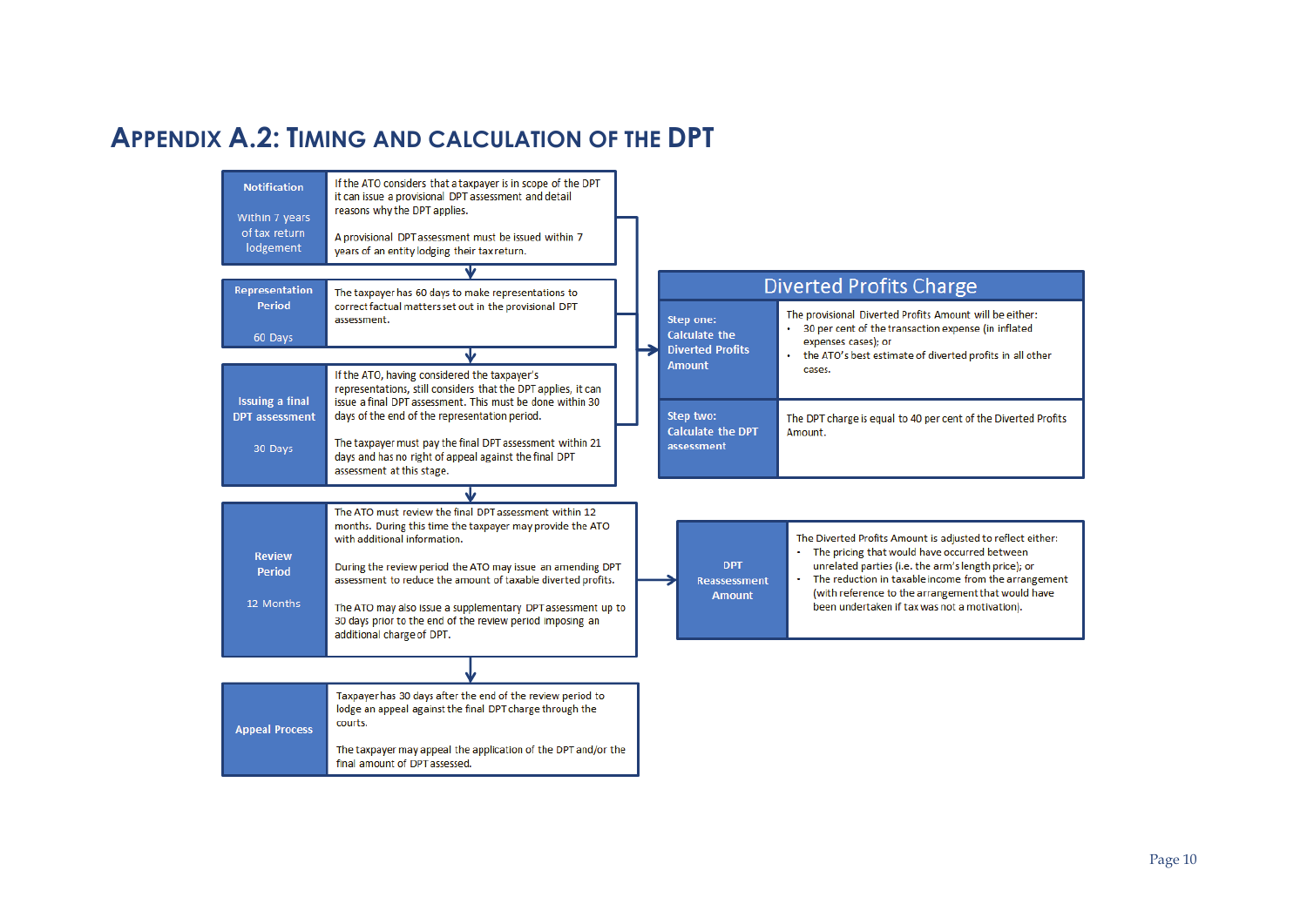## **APPENDIX A.2: TIMING AND CALCULATION OF THE DPT**

<span id="page-13-0"></span>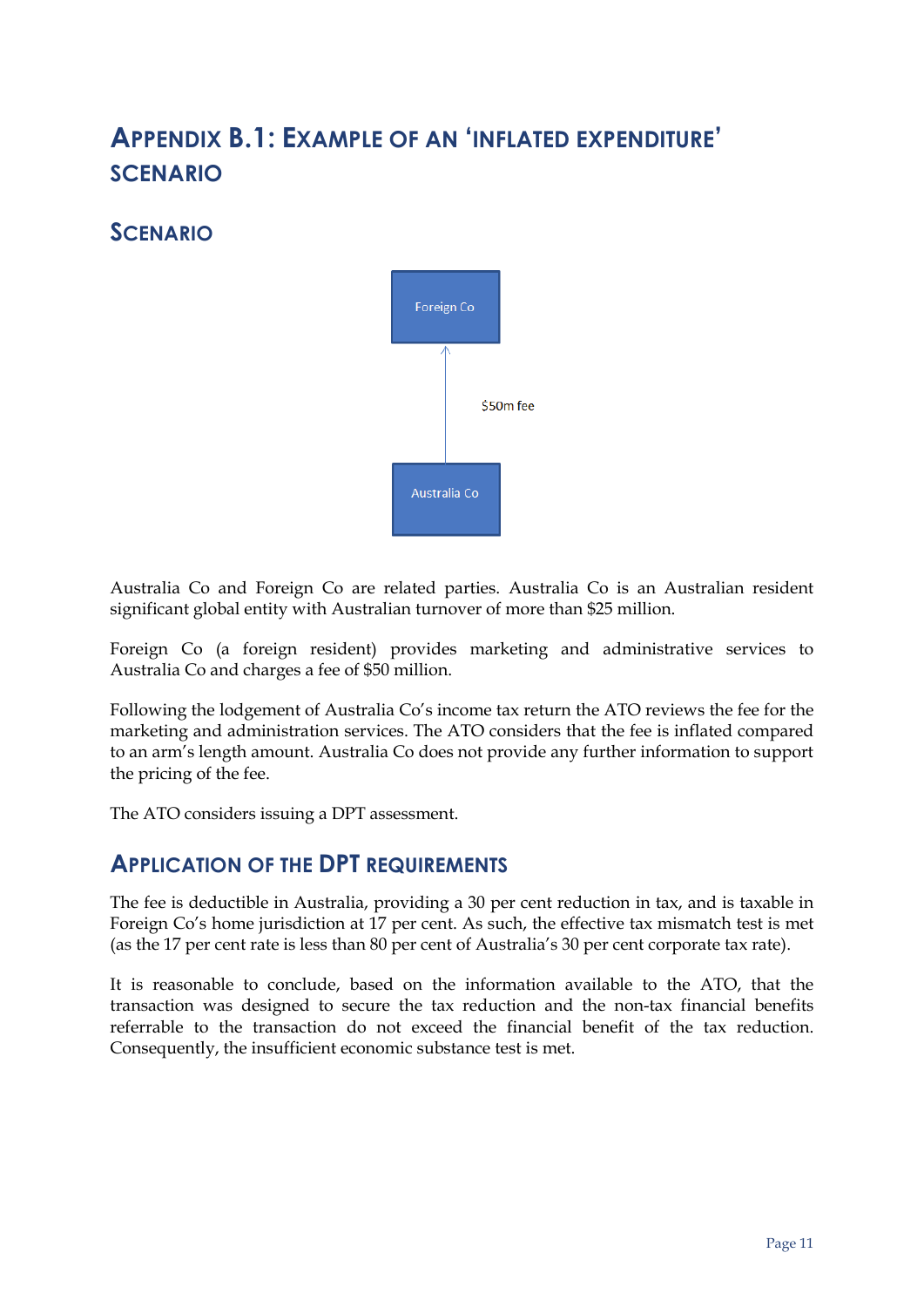## <span id="page-14-0"></span>**APPENDIX B.1: EXAMPLE OF AN 'INFLATED EXPENDITURE' SCENARIO**

## <span id="page-14-1"></span>**SCENARIO**



Australia Co and Foreign Co are related parties. Australia Co is an Australian resident significant global entity with Australian turnover of more than \$25 million.

Foreign Co (a foreign resident) provides marketing and administrative services to Australia Co and charges a fee of \$50 million.

Following the lodgement of Australia Co's income tax return the ATO reviews the fee for the marketing and administration services. The ATO considers that the fee is inflated compared to an arm's length amount. Australia Co does not provide any further information to support the pricing of the fee.

The ATO considers issuing a DPT assessment.

### <span id="page-14-2"></span>**APPLICATION OF THE DPT REQUIREMENTS**

The fee is deductible in Australia, providing a 30 per cent reduction in tax, and is taxable in Foreign Co's home jurisdiction at 17 per cent. As such, the effective tax mismatch test is met (as the 17 per cent rate is less than 80 per cent of Australia's 30 per cent corporate tax rate).

It is reasonable to conclude, based on the information available to the ATO, that the transaction was designed to secure the tax reduction and the non-tax financial benefits referrable to the transaction do not exceed the financial benefit of the tax reduction. Consequently, the insufficient economic substance test is met.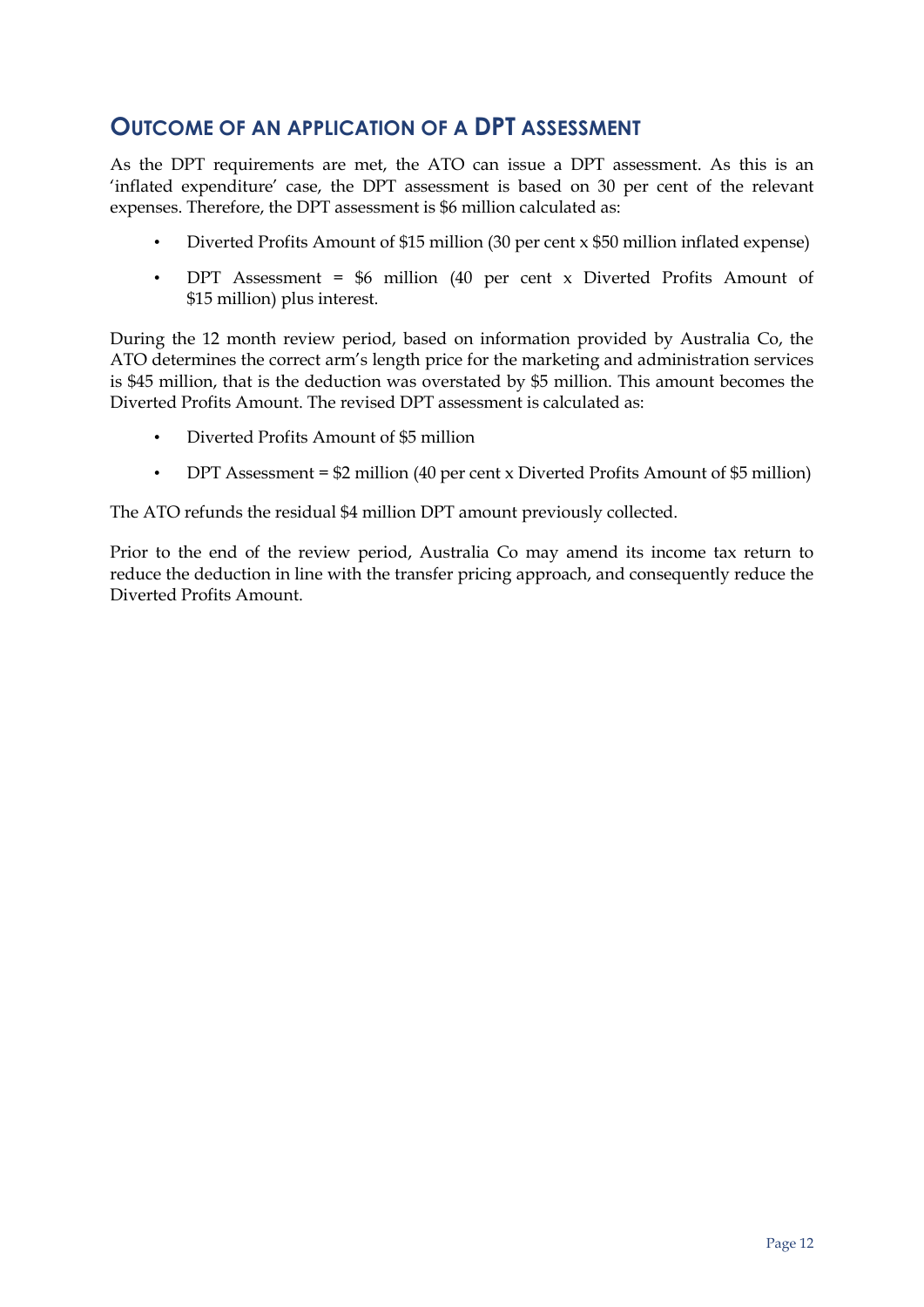## <span id="page-15-0"></span>**OUTCOME OF AN APPLICATION OF A DPT ASSESSMENT**

As the DPT requirements are met, the ATO can issue a DPT assessment. As this is an 'inflated expenditure' case, the DPT assessment is based on 30 per cent of the relevant expenses. Therefore, the DPT assessment is \$6 million calculated as:

- Diverted Profits Amount of \$15 million (30 per cent x \$50 million inflated expense)
- DPT Assessment = \$6 million (40 per cent x Diverted Profits Amount of \$15 million) plus interest.

During the 12 month review period, based on information provided by Australia Co, the ATO determines the correct arm's length price for the marketing and administration services is \$45 million, that is the deduction was overstated by \$5 million. This amount becomes the Diverted Profits Amount. The revised DPT assessment is calculated as:

- Diverted Profits Amount of \$5 million
- DPT Assessment = \$2 million (40 per cent x Diverted Profits Amount of \$5 million)

The ATO refunds the residual \$4 million DPT amount previously collected.

Prior to the end of the review period, Australia Co may amend its income tax return to reduce the deduction in line with the transfer pricing approach, and consequently reduce the Diverted Profits Amount.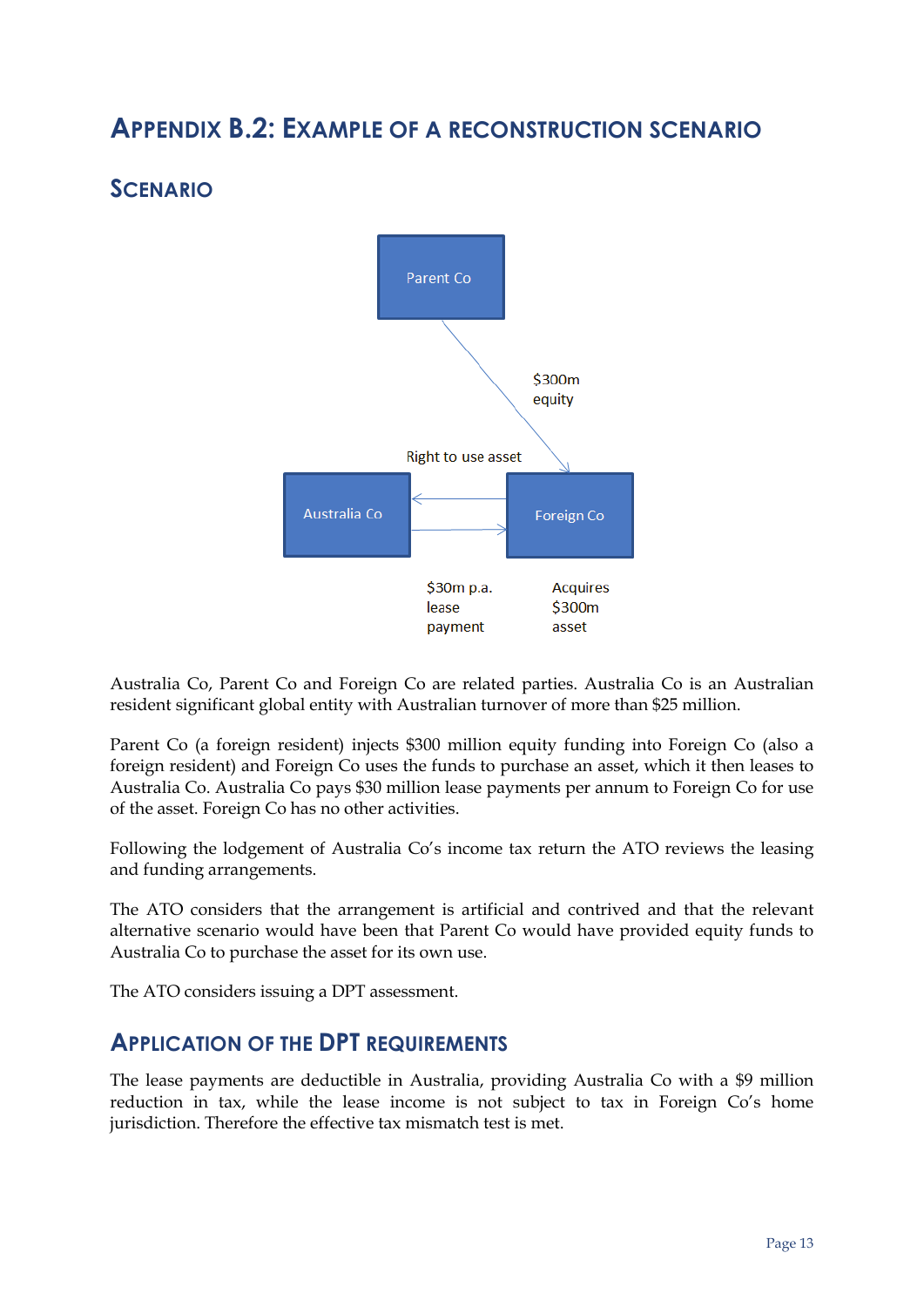## <span id="page-16-0"></span>**APPENDIX B.2: EXAMPLE OF A RECONSTRUCTION SCENARIO**

## <span id="page-16-1"></span>**SCENARIO**



Australia Co, Parent Co and Foreign Co are related parties. Australia Co is an Australian resident significant global entity with Australian turnover of more than \$25 million.

Parent Co (a foreign resident) injects \$300 million equity funding into Foreign Co (also a foreign resident) and Foreign Co uses the funds to purchase an asset, which it then leases to Australia Co. Australia Co pays \$30 million lease payments per annum to Foreign Co for use of the asset. Foreign Co has no other activities.

Following the lodgement of Australia Co's income tax return the ATO reviews the leasing and funding arrangements.

The ATO considers that the arrangement is artificial and contrived and that the relevant alternative scenario would have been that Parent Co would have provided equity funds to Australia Co to purchase the asset for its own use.

The ATO considers issuing a DPT assessment.

### <span id="page-16-2"></span>**APPLICATION OF THE DPT REQUIREMENTS**

The lease payments are deductible in Australia, providing Australia Co with a \$9 million reduction in tax, while the lease income is not subject to tax in Foreign Co's home jurisdiction. Therefore the effective tax mismatch test is met.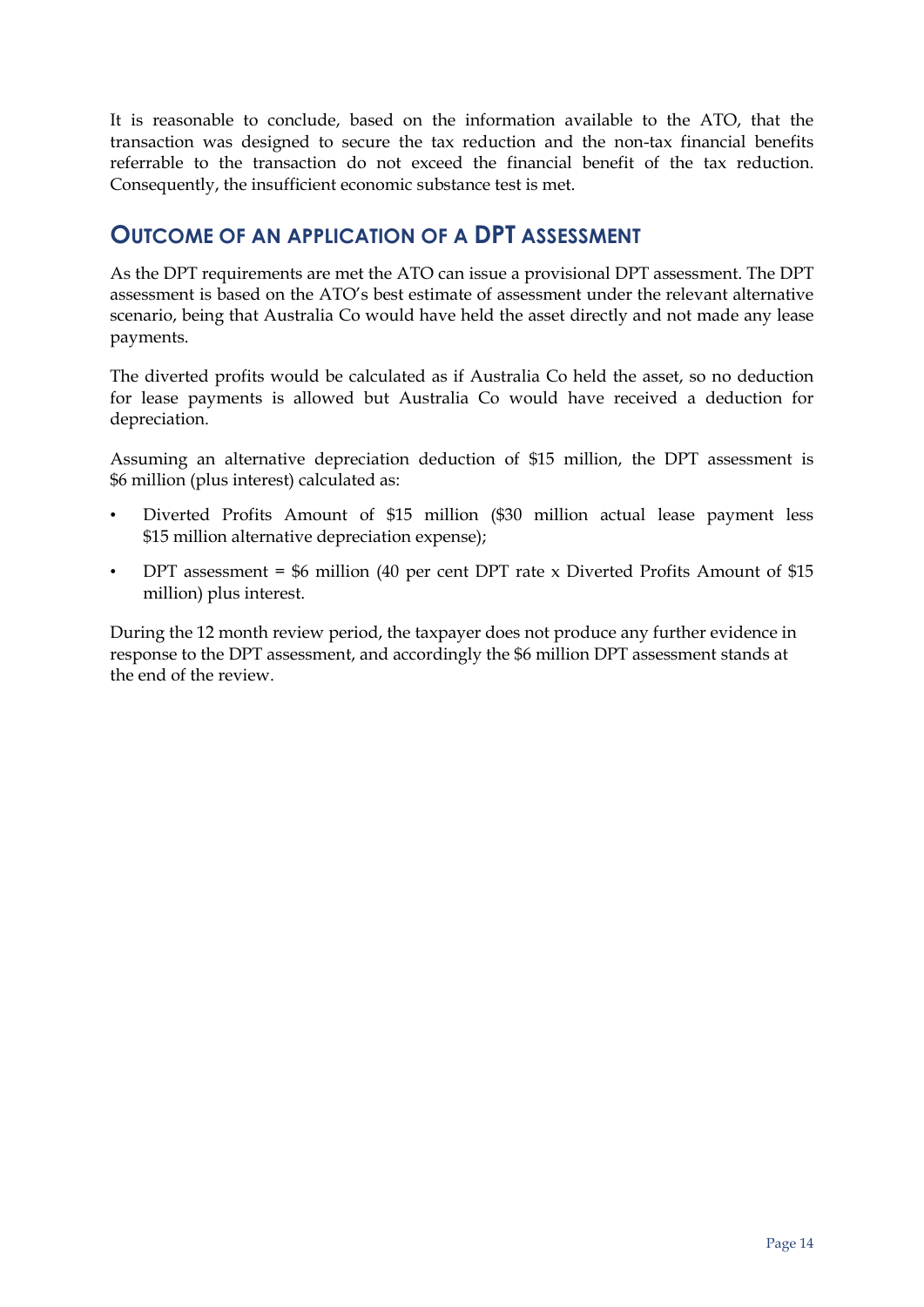It is reasonable to conclude, based on the information available to the ATO, that the transaction was designed to secure the tax reduction and the non-tax financial benefits referrable to the transaction do not exceed the financial benefit of the tax reduction. Consequently, the insufficient economic substance test is met.

### <span id="page-17-0"></span>**OUTCOME OF AN APPLICATION OF A DPT ASSESSMENT**

As the DPT requirements are met the ATO can issue a provisional DPT assessment. The DPT assessment is based on the ATO's best estimate of assessment under the relevant alternative scenario, being that Australia Co would have held the asset directly and not made any lease payments.

The diverted profits would be calculated as if Australia Co held the asset, so no deduction for lease payments is allowed but Australia Co would have received a deduction for depreciation.

Assuming an alternative depreciation deduction of \$15 million, the DPT assessment is \$6 million (plus interest) calculated as:

- Diverted Profits Amount of \$15 million (\$30 million actual lease payment less \$15 million alternative depreciation expense);
- DPT assessment =  $$6$  million (40 per cent DPT rate x Diverted Profits Amount of  $$15$ ) million) plus interest.

During the 12 month review period, the taxpayer does not produce any further evidence in response to the DPT assessment, and accordingly the \$6 million DPT assessment stands at the end of the review.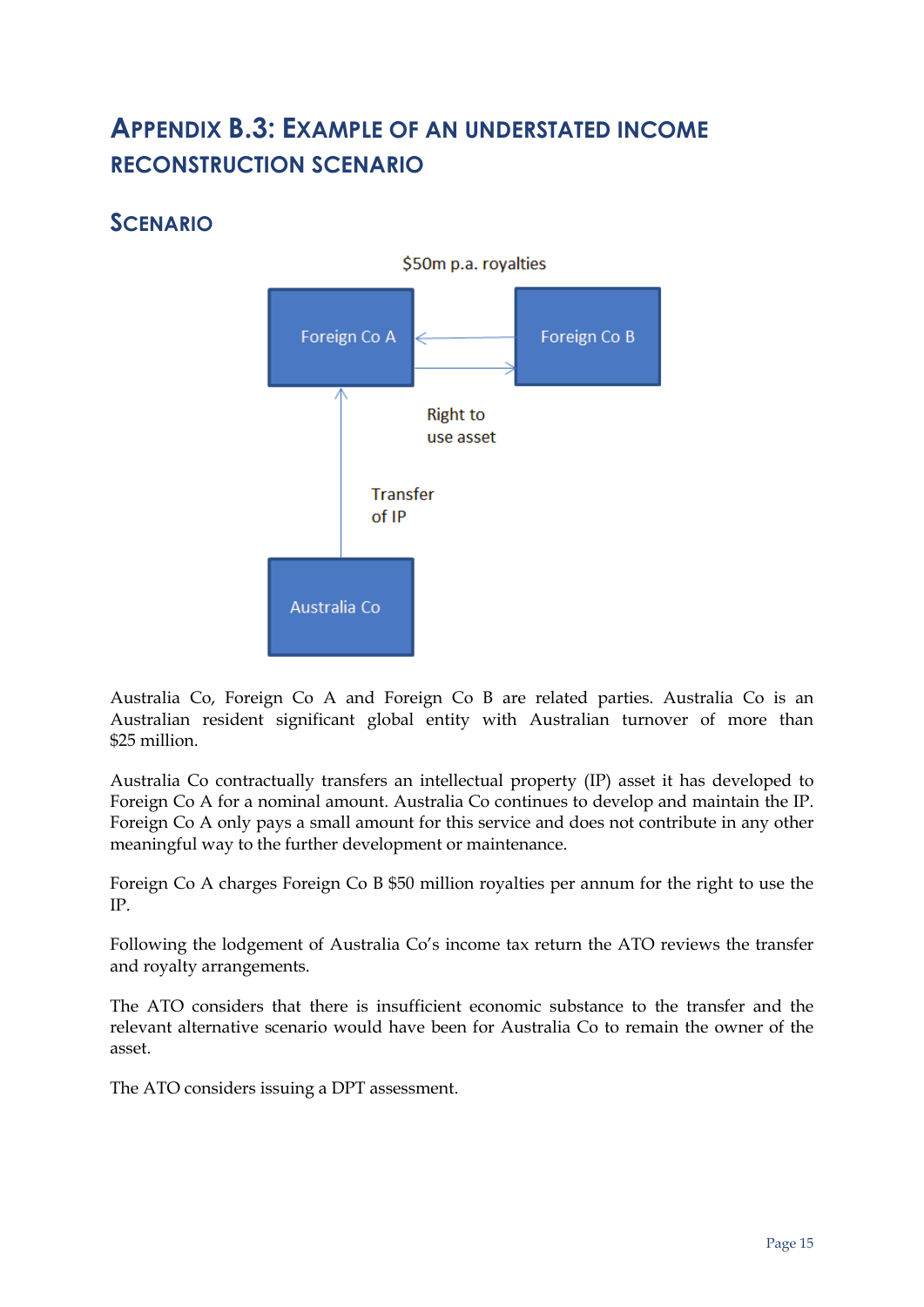## <span id="page-18-0"></span>**APPENDIX B.3: EXAMPLE OF AN UNDERSTATED INCOME RECONSTRUCTION SCENARIO**

## <span id="page-18-1"></span>**SCENARIO**



Australia Co, Foreign Co A and Foreign Co B are related parties. Australia Co is an Australian resident significant global entity with Australian turnover of more than \$25 million.

Australia Co contractually transfers an intellectual property (IP) asset it has developed to Foreign Co A for a nominal amount. Australia Co continues to develop and maintain the IP. Foreign Co A only pays a small amount for this service and does not contribute in any other meaningful way to the further development or maintenance.

Foreign Co A charges Foreign Co B \$50 million royalties per annum for the right to use the IP.

Following the lodgement of Australia Co's income tax return the ATO reviews the transfer and royalty arrangements.

The ATO considers that there is insufficient economic substance to the transfer and the relevant alternative scenario would have been for Australia Co to remain the owner of the asset.

The ATO considers issuing a DPT assessment.